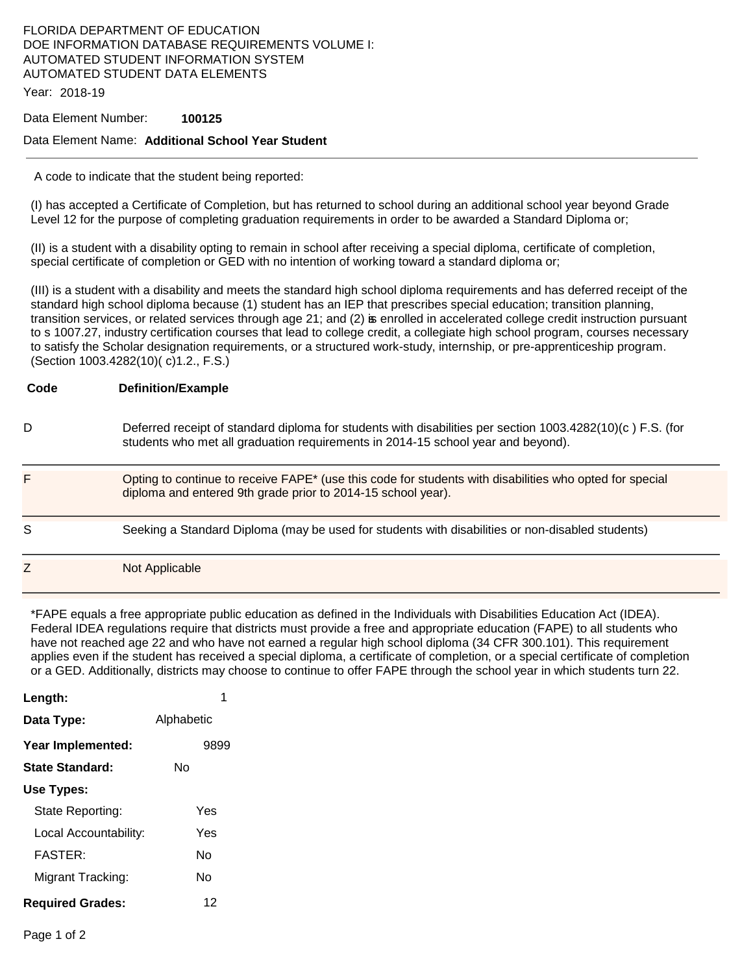### FLORIDA DEPARTMENT OF EDUCATION DOE INFORMATION DATABASE REQUIREMENTS VOLUME I: AUTOMATED STUDENT INFORMATION SYSTEM AUTOMATED STUDENT DATA ELEMENTS

Year: 2018-19

#### Data Element Number: **100125**

#### Data Element Name: **Additional School Year Student**

A code to indicate that the student being reported:

(I) has accepted a Certificate of Completion, but has returned to school during an additional school year beyond Grade Level 12 for the purpose of completing graduation requirements in order to be awarded a Standard Diploma or;

(II) is a student with a disability opting to remain in school after receiving a special diploma, certificate of completion, special certificate of completion or GED with no intention of working toward a standard diploma or;

(III) is a student with a disability and meets the standard high school diploma requirements and has deferred receipt of the standard high school diploma because (1) student has an IEP that prescribes special education; transition planning, transition services, or related services through age 21; and (2) is enrolled in accelerated college credit instruction pursuant to s 1007.27, industry certification courses that lead to college credit, a collegiate high school program, courses necessary to satisfy the Scholar designation requirements, or a structured work-study, internship, or pre-apprenticeship program. (Section 1003.4282(10)( c)1.2., F.S.)

| Code | <b>Definition/Example</b>                                                                                                                                                                      |
|------|------------------------------------------------------------------------------------------------------------------------------------------------------------------------------------------------|
| D    | Deferred receipt of standard diploma for students with disabilities per section 1003.4282(10)(c) F.S. (for<br>students who met all graduation requirements in 2014-15 school year and beyond). |
| F.   | Opting to continue to receive FAPE* (use this code for students with disabilities who opted for special<br>diploma and entered 9th grade prior to 2014-15 school year).                        |
| S    | Seeking a Standard Diploma (may be used for students with disabilities or non-disabled students)                                                                                               |
|      | Not Applicable                                                                                                                                                                                 |

\*FAPE equals a free appropriate public education as defined in the Individuals with Disabilities Education Act (IDEA). Federal IDEA regulations require that districts must provide a free and appropriate education (FAPE) to all students who have not reached age 22 and who have not earned a regular high school diploma (34 CFR 300.101). This requirement applies even if the student has received a special diploma, a certificate of completion, or a special certificate of completion or a GED. Additionally, districts may choose to continue to offer FAPE through the school year in which students turn 22.

| Length:                 |            |
|-------------------------|------------|
| Data Type:              | Alphabetic |
| Year Implemented:       | 9899       |
| <b>State Standard:</b>  | N٥         |
| Use Types:              |            |
| State Reporting:        | Yes        |
| Local Accountability:   | Yes        |
| FASTFR·                 | N٥         |
| Migrant Tracking:       | N٥         |
| <b>Required Grades:</b> | 12         |